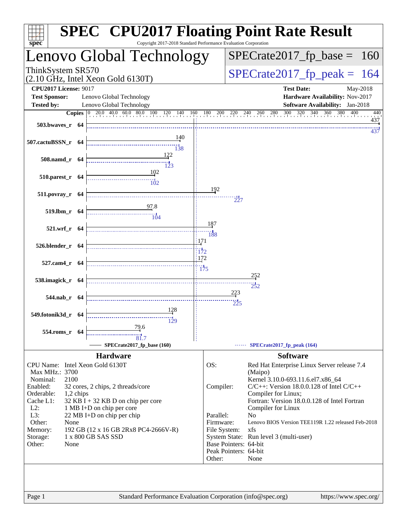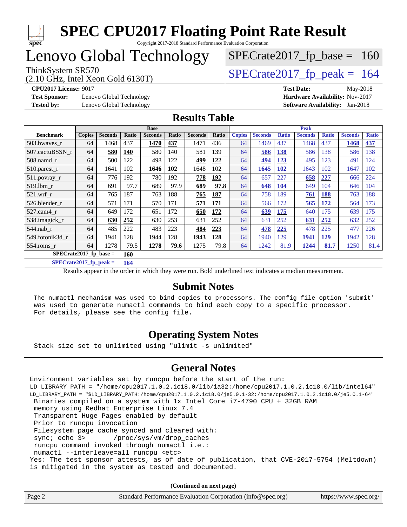

## Lenovo Global Technology

(2.10 GHz, Intel Xeon Gold 6130T)

ThinkSystem SR570<br>(2.10 GHz, Intel Xeon Gold 6130T)  $\begin{array}{|l|l|}\n\hline\n\end{array}$  [SPECrate2017\\_fp\\_peak =](http://www.spec.org/auto/cpu2017/Docs/result-fields.html#SPECrate2017fppeak) 164

 $SPECTate2017_fp\_base = 160$ 

**[Test Sponsor:](http://www.spec.org/auto/cpu2017/Docs/result-fields.html#TestSponsor)** Lenovo Global Technology **[Hardware Availability:](http://www.spec.org/auto/cpu2017/Docs/result-fields.html#HardwareAvailability)** Nov-2017

**[CPU2017 License:](http://www.spec.org/auto/cpu2017/Docs/result-fields.html#CPU2017License)** 9017 **[Test Date:](http://www.spec.org/auto/cpu2017/Docs/result-fields.html#TestDate)** May-2018 **[Tested by:](http://www.spec.org/auto/cpu2017/Docs/result-fields.html#Testedby)** Lenovo Global Technology **[Software Availability:](http://www.spec.org/auto/cpu2017/Docs/result-fields.html#SoftwareAvailability)** Jan-2018

#### **[Results Table](http://www.spec.org/auto/cpu2017/Docs/result-fields.html#ResultsTable)**

|                                 | <b>Base</b>   |                |            |                | <b>Peak</b> |                |            |               |                |              |                |              |                |              |
|---------------------------------|---------------|----------------|------------|----------------|-------------|----------------|------------|---------------|----------------|--------------|----------------|--------------|----------------|--------------|
| <b>Benchmark</b>                | <b>Copies</b> | <b>Seconds</b> | Ratio      | <b>Seconds</b> | Ratio       | <b>Seconds</b> | Ratio      | <b>Copies</b> | <b>Seconds</b> | <b>Ratio</b> | <b>Seconds</b> | <b>Ratio</b> | <b>Seconds</b> | <b>Ratio</b> |
| 503.bwaves_r                    | 64            | 1468           | 437        | 1470           | 437         | 1471           | 436        | 64            | 1469           | 437          | 1468           | 437          | 1468           | 437          |
| 507.cactuBSSN r                 | 64            | 580            | <b>140</b> | 580            | 140         | 581            | 139        | 64            | 586            | <b>138</b>   | 586            | 138          | 586            | 138          |
| $508$ .namd $r$                 | 64            | 500            | 122        | 498            | 122         | 499            | 122        | 64            | 494            | 123          | 495            | 123          | 491            | 124          |
| $510.parest_r$                  | 64            | 1641           | 102        | 1646           | <u>102</u>  | 1648           | 102        | 64            | 1645           | <b>102</b>   | 1643           | 102          | 1647           | 102          |
| 511.povray_r                    | 64            | 776            | 192        | 780            | 192         | 778            | 192        | 64            | 657            | 227          | 658            | 227          | 666            | 224          |
| 519.lbm r                       | 64            | 691            | 97.7       | 689            | 97.9        | 689            | 97.8       | 64            | 648            | <b>104</b>   | 649            | 104          | 646            | 104          |
| $521$ .wrf r                    | 64            | 765            | 187        | 763            | 188         | 765            | 187        | 64            | 758            | 189          | 761            | 188          | 763            | 188          |
| 526.blender r                   | 64            | 571            | 171        | 570            | 171         | 571            | <u>171</u> | 64            | 566            | 172          | 565            | <u>172</u>   | 564            | 173          |
| 527.cam4 r                      | 64            | 649            | 172        | 651            | 172         | 650            | 172        | 64            | 639            | 175          | 640            | 175          | 639            | 175          |
| 538.imagick_r                   | 64            | 630            | 252        | 630            | 253         | 631            | 252        | 64            | 631            | 252          | 631            | 252          | 632            | 252          |
| $544$ .nab r                    | 64            | 485            | 222        | 483            | 223         | 484            | 223        | 64            | 478            | 225          | 478            | 225          | 477            | 226          |
| 549.fotonik3d r                 | 64            | 1941           | 128        | 1944           | 128         | 1943           | 128        | 64            | 1940           | 129          | 1941           | 129          | 1942           | 128          |
| $554$ .roms r                   | 64            | 1278           | 79.5       | 1278           | 79.6        | 1275           | 79.8       | 64            | 1242           | 81.9         | 1244           | 81.7         | 1250           | 81.4         |
| $SPECrate2017$ fp base =<br>160 |               |                |            |                |             |                |            |               |                |              |                |              |                |              |

**[SPECrate2017\\_fp\\_peak =](http://www.spec.org/auto/cpu2017/Docs/result-fields.html#SPECrate2017fppeak) 164**

Results appear in the [order in which they were run.](http://www.spec.org/auto/cpu2017/Docs/result-fields.html#RunOrder) Bold underlined text [indicates a median measurement.](http://www.spec.org/auto/cpu2017/Docs/result-fields.html#Median)

#### **[Submit Notes](http://www.spec.org/auto/cpu2017/Docs/result-fields.html#SubmitNotes)**

 The numactl mechanism was used to bind copies to processors. The config file option 'submit' was used to generate numactl commands to bind each copy to a specific processor. For details, please see the config file.

### **[Operating System Notes](http://www.spec.org/auto/cpu2017/Docs/result-fields.html#OperatingSystemNotes)**

Stack size set to unlimited using "ulimit -s unlimited"

### **[General Notes](http://www.spec.org/auto/cpu2017/Docs/result-fields.html#GeneralNotes)**

Environment variables set by runcpu before the start of the run: LD\_LIBRARY\_PATH = "/home/cpu2017.1.0.2.ic18.0/lib/ia32:/home/cpu2017.1.0.2.ic18.0/lib/intel64" LD\_LIBRARY\_PATH = "\$LD\_LIBRARY\_PATH:/home/cpu2017.1.0.2.ic18.0/je5.0.1-32:/home/cpu2017.1.0.2.ic18.0/je5.0.1-64" Binaries compiled on a system with 1x Intel Core i7-4790 CPU + 32GB RAM memory using Redhat Enterprise Linux 7.4 Transparent Huge Pages enabled by default Prior to runcpu invocation Filesystem page cache synced and cleared with: sync; echo 3> /proc/sys/vm/drop\_caches runcpu command invoked through numactl i.e.: numactl --interleave=all runcpu <etc> Yes: The test sponsor attests, as of date of publication, that CVE-2017-5754 (Meltdown) is mitigated in the system as tested and documented.

**(Continued on next page)**

| Page 2 | Standard Performance Evaluation Corporation (info@spec.org) | https://www.spec.org/ |
|--------|-------------------------------------------------------------|-----------------------|
|--------|-------------------------------------------------------------|-----------------------|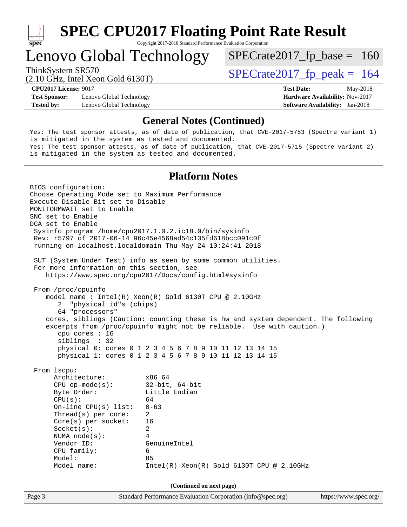

Copyright 2017-2018 Standard Performance Evaluation Corporation

### Lenovo Global Technology

ThinkSystem SR570<br>  $(2.10 \text{ GHz})$  Intel Yean Gold 6130T)

 $SPECTate2017_fp\_base = 160$ 

(2.10 GHz, Intel Xeon Gold 6130T)

**[Test Sponsor:](http://www.spec.org/auto/cpu2017/Docs/result-fields.html#TestSponsor)** Lenovo Global Technology **[Hardware Availability:](http://www.spec.org/auto/cpu2017/Docs/result-fields.html#HardwareAvailability)** Nov-2017 **[Tested by:](http://www.spec.org/auto/cpu2017/Docs/result-fields.html#Testedby)** Lenovo Global Technology **[Software Availability:](http://www.spec.org/auto/cpu2017/Docs/result-fields.html#SoftwareAvailability)** Jan-2018

**[CPU2017 License:](http://www.spec.org/auto/cpu2017/Docs/result-fields.html#CPU2017License)** 9017 **[Test Date:](http://www.spec.org/auto/cpu2017/Docs/result-fields.html#TestDate)** May-2018

#### **[General Notes \(Continued\)](http://www.spec.org/auto/cpu2017/Docs/result-fields.html#GeneralNotes)**

Yes: The test sponsor attests, as of date of publication, that CVE-2017-5753 (Spectre variant 1) is mitigated in the system as tested and documented. Yes: The test sponsor attests, as of date of publication, that CVE-2017-5715 (Spectre variant 2) is mitigated in the system as tested and documented.

#### **[Platform Notes](http://www.spec.org/auto/cpu2017/Docs/result-fields.html#PlatformNotes)**

Page 3 Standard Performance Evaluation Corporation [\(info@spec.org\)](mailto:info@spec.org) <https://www.spec.org/> BIOS configuration: Choose Operating Mode set to Maximum Performance Execute Disable Bit set to Disable MONITORMWAIT set to Enable SNC set to Enable DCA set to Enable Sysinfo program /home/cpu2017.1.0.2.ic18.0/bin/sysinfo Rev: r5797 of 2017-06-14 96c45e4568ad54c135fd618bcc091c0f running on localhost.localdomain Thu May 24 10:24:41 2018 SUT (System Under Test) info as seen by some common utilities. For more information on this section, see <https://www.spec.org/cpu2017/Docs/config.html#sysinfo> From /proc/cpuinfo model name : Intel(R) Xeon(R) Gold 6130T CPU @ 2.10GHz 2 "physical id"s (chips) 64 "processors" cores, siblings (Caution: counting these is hw and system dependent. The following excerpts from /proc/cpuinfo might not be reliable. Use with caution.) cpu cores : 16 siblings : 32 physical 0: cores 0 1 2 3 4 5 6 7 8 9 10 11 12 13 14 15 physical 1: cores 0 1 2 3 4 5 6 7 8 9 10 11 12 13 14 15 From lscpu: Architecture: x86\_64 CPU op-mode(s): 32-bit, 64-bit Byte Order: Little Endian  $CPU(s):$  64 On-line CPU(s) list: 0-63 Thread(s) per core: 2 Core(s) per socket: 16 Socket(s): 2 NUMA node(s): 4 Vendor ID: GenuineIntel CPU family: 6 Model: 85 Model name: Intel(R) Xeon(R) Gold 6130T CPU @ 2.10GHz **(Continued on next page)**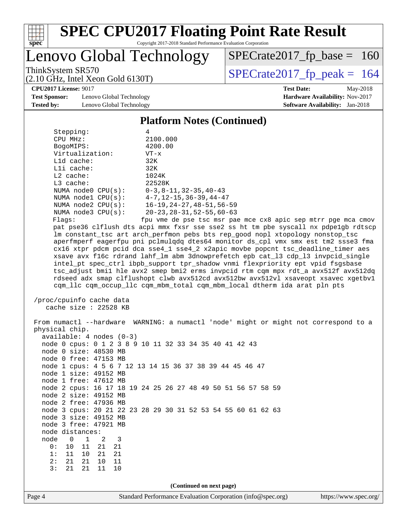

Copyright 2017-2018 Standard Performance Evaluation Corporation

Lenovo Global Technology

ThinkSystem SR570<br>(2.10 GHz, Intel Xeon Gold 6130T)  $\begin{array}{|l|l|}\n\hline\n\end{array}$  [SPECrate2017\\_fp\\_peak =](http://www.spec.org/auto/cpu2017/Docs/result-fields.html#SPECrate2017fppeak) 164

 $SPECTate2017_fp\_base = 160$ 

**[Test Sponsor:](http://www.spec.org/auto/cpu2017/Docs/result-fields.html#TestSponsor)** Lenovo Global Technology **[Hardware Availability:](http://www.spec.org/auto/cpu2017/Docs/result-fields.html#HardwareAvailability)** Nov-2017 **[Tested by:](http://www.spec.org/auto/cpu2017/Docs/result-fields.html#Testedby)** Lenovo Global Technology **[Software Availability:](http://www.spec.org/auto/cpu2017/Docs/result-fields.html#SoftwareAvailability)** Jan-2018

(2.10 GHz, Intel Xeon Gold 6130T)

**[CPU2017 License:](http://www.spec.org/auto/cpu2017/Docs/result-fields.html#CPU2017License)** 9017 **[Test Date:](http://www.spec.org/auto/cpu2017/Docs/result-fields.html#TestDate)** May-2018

#### **[Platform Notes \(Continued\)](http://www.spec.org/auto/cpu2017/Docs/result-fields.html#PlatformNotes)**

| Stepping:               | 4                                           |
|-------------------------|---------------------------------------------|
| CPU MHz:                | 2100.000                                    |
| BogoMIPS:               | 4200.00                                     |
| Virtualization:         | $VT - x$                                    |
| $L1d$ cache:            | 32K                                         |
| $L1i$ cache:            | 32K                                         |
| $L2$ cache:             | 1024K                                       |
| $L3$ cache:             | 22528K                                      |
| NUMA $node0$ $CPU(s)$ : | $0-3, 8-11, 32-35, 40-43$                   |
| NUMA $node1$ $CPU(s)$ : | $4 - 7$ , $12 - 15$ , $36 - 39$ , $44 - 47$ |
| NUMA $node2$ $CPU(s)$ : | $16 - 19, 24 - 27, 48 - 51, 56 - 59$        |
| NUMA $node3$ $CPU(s)$ : | $20 - 23, 28 - 31, 52 - 55, 60 - 63$        |
| $E1 - 22$               |                                             |

Flags: fpu vme de pse tsc msr pae mce cx8 apic sep mtrr pge mca cmov pat pse36 clflush dts acpi mmx fxsr sse sse2 ss ht tm pbe syscall nx pdpe1gb rdtscp lm constant\_tsc art arch\_perfmon pebs bts rep\_good nopl xtopology nonstop\_tsc aperfmperf eagerfpu pni pclmulqdq dtes64 monitor ds\_cpl vmx smx est tm2 ssse3 fma cx16 xtpr pdcm pcid dca sse4\_1 sse4\_2 x2apic movbe popcnt tsc\_deadline\_timer aes xsave avx f16c rdrand lahf\_lm abm 3dnowprefetch epb cat\_l3 cdp\_l3 invpcid\_single intel\_pt spec\_ctrl ibpb\_support tpr\_shadow vnmi flexpriority ept vpid fsgsbase tsc\_adjust bmi1 hle avx2 smep bmi2 erms invpcid rtm cqm mpx rdt\_a avx512f avx512dq rdseed adx smap clflushopt clwb avx512cd avx512bw avx512vl xsaveopt xsavec xgetbv1 cqm\_llc cqm\_occup\_llc cqm\_mbm\_total cqm\_mbm\_local dtherm ida arat pln pts

 /proc/cpuinfo cache data cache size : 22528 KB

Page 4 Standard Performance Evaluation Corporation [\(info@spec.org\)](mailto:info@spec.org) <https://www.spec.org/> From numactl --hardware WARNING: a numactl 'node' might or might not correspond to a physical chip. available: 4 nodes (0-3) node 0 cpus: 0 1 2 3 8 9 10 11 32 33 34 35 40 41 42 43 node 0 size: 48530 MB node 0 free: 47153 MB node 1 cpus: 4 5 6 7 12 13 14 15 36 37 38 39 44 45 46 47 node 1 size: 49152 MB node 1 free: 47612 MB node 2 cpus: 16 17 18 19 24 25 26 27 48 49 50 51 56 57 58 59 node 2 size: 49152 MB node 2 free: 47936 MB node 3 cpus: 20 21 22 23 28 29 30 31 52 53 54 55 60 61 62 63 node 3 size: 49152 MB node 3 free: 47921 MB node distances: node 0 1 2 3 0: 10 11 21 21 1: 11 10 21 21 2: 21 21 10 11 3: 21 21 11 10 **(Continued on next page)**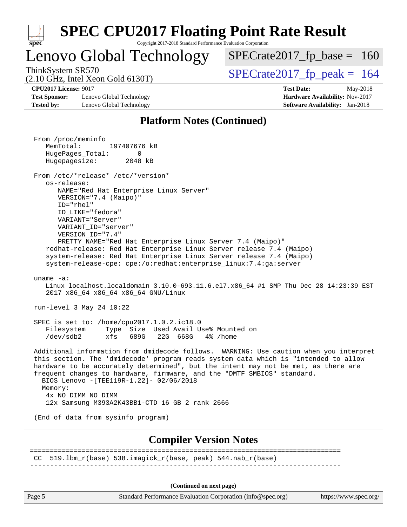| S.<br>De<br>ι. |  |  |  |  |  |  |  |
|----------------|--|--|--|--|--|--|--|

### Lenovo Global Technology

ThinkSystem SR570<br>  $\binom{210 \text{ CH}_7 \text{ Intel Year Gold 6130T}}{SPECrate2017\_fp\_peak} = 164$ 

 $SPECTate2017_fp\_base = 160$ 

(2.10 GHz, Intel Xeon Gold 6130T)

**[Test Sponsor:](http://www.spec.org/auto/cpu2017/Docs/result-fields.html#TestSponsor)** Lenovo Global Technology **[Hardware Availability:](http://www.spec.org/auto/cpu2017/Docs/result-fields.html#HardwareAvailability)** Nov-2017 **[Tested by:](http://www.spec.org/auto/cpu2017/Docs/result-fields.html#Testedby)** Lenovo Global Technology **[Software Availability:](http://www.spec.org/auto/cpu2017/Docs/result-fields.html#SoftwareAvailability)** Jan-2018

**[CPU2017 License:](http://www.spec.org/auto/cpu2017/Docs/result-fields.html#CPU2017License)** 9017 **[Test Date:](http://www.spec.org/auto/cpu2017/Docs/result-fields.html#TestDate)** May-2018

### **[Platform Notes \(Continued\)](http://www.spec.org/auto/cpu2017/Docs/result-fields.html#PlatformNotes)**

 From /proc/meminfo MemTotal: 197407676 kB HugePages\_Total: 0 Hugepagesize: 2048 kB From /etc/\*release\* /etc/\*version\* os-release: NAME="Red Hat Enterprise Linux Server" VERSION="7.4 (Maipo)" ID="rhel" ID\_LIKE="fedora" VARIANT="Server" VARIANT\_ID="server" VERSION\_ID="7.4" PRETTY\_NAME="Red Hat Enterprise Linux Server 7.4 (Maipo)" redhat-release: Red Hat Enterprise Linux Server release 7.4 (Maipo) system-release: Red Hat Enterprise Linux Server release 7.4 (Maipo) system-release-cpe: cpe:/o:redhat:enterprise\_linux:7.4:ga:server uname -a: Linux localhost.localdomain 3.10.0-693.11.6.el7.x86\_64 #1 SMP Thu Dec 28 14:23:39 EST 2017 x86\_64 x86\_64 x86\_64 GNU/Linux run-level 3 May 24 10:22 SPEC is set to: /home/cpu2017.1.0.2.ic18.0<br>Filesystem Type Size Used Avail U Type Size Used Avail Use% Mounted on /dev/sdb2 xfs 689G 22G 668G 4% /home Additional information from dmidecode follows. WARNING: Use caution when you interpret this section. The 'dmidecode' program reads system data which is "intended to allow hardware to be accurately determined", but the intent may not be met, as there are frequent changes to hardware, firmware, and the "DMTF SMBIOS" standard. BIOS Lenovo -[TEE119R-1.22]- 02/06/2018 Memory: 4x NO DIMM NO DIMM 12x Samsung M393A2K43BB1-CTD 16 GB 2 rank 2666 (End of data from sysinfo program) **[Compiler Version Notes](http://www.spec.org/auto/cpu2017/Docs/result-fields.html#CompilerVersionNotes)** ============================================================================== CC  $519.1 \text{bm}_r(\text{base})$  538.imagick $r(\text{base}, \text{peak})$  544.nab $r(\text{base})$ ------------------------------------------------------------------------------ **(Continued on next page)**

Page 5 Standard Performance Evaluation Corporation [\(info@spec.org\)](mailto:info@spec.org) <https://www.spec.org/>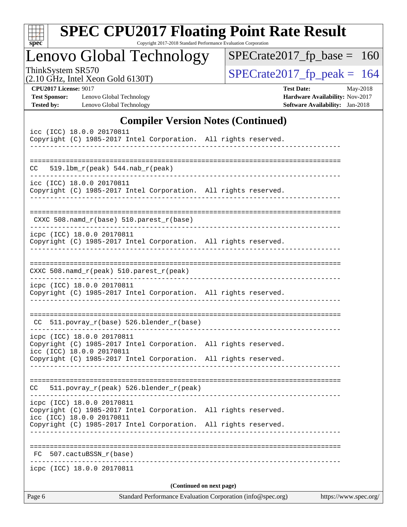| S<br>оe |  |  |  |  |  |  |  |
|---------|--|--|--|--|--|--|--|

Copyright 2017-2018 Standard Performance Evaluation Corporation

Lenovo Global Technology

ThinkSystem SR570<br>  $(2.10 \text{ GHz})$  Intel Xeon Gold 6130T)

 $SPECrate2017_fp\_base = 160$ 

(2.10 GHz, Intel Xeon Gold 6130T)

**[CPU2017 License:](http://www.spec.org/auto/cpu2017/Docs/result-fields.html#CPU2017License)** 9017 **[Test Date:](http://www.spec.org/auto/cpu2017/Docs/result-fields.html#TestDate)** May-2018 **[Test Sponsor:](http://www.spec.org/auto/cpu2017/Docs/result-fields.html#TestSponsor)** Lenovo Global Technology **[Hardware Availability:](http://www.spec.org/auto/cpu2017/Docs/result-fields.html#HardwareAvailability)** Nov-2017 **[Tested by:](http://www.spec.org/auto/cpu2017/Docs/result-fields.html#Testedby)** Lenovo Global Technology **[Software Availability:](http://www.spec.org/auto/cpu2017/Docs/result-fields.html#SoftwareAvailability)** Jan-2018

### **[Compiler Version Notes \(Continued\)](http://www.spec.org/auto/cpu2017/Docs/result-fields.html#CompilerVersionNotes)**

|    | icpc (ICC) 18.0.0 20170811                                                                                                 | (Continued on next page)       |  |
|----|----------------------------------------------------------------------------------------------------------------------------|--------------------------------|--|
|    |                                                                                                                            |                                |  |
|    |                                                                                                                            |                                |  |
| FC | 507.cactuBSSN r(base)                                                                                                      |                                |  |
|    | Copyright (C) 1985-2017 Intel Corporation. All rights reserved.                                                            |                                |  |
|    | Copyright (C) 1985-2017 Intel Corporation. All rights reserved.<br>icc (ICC) 18.0.0 20170811                               |                                |  |
|    | icpc (ICC) 18.0.0 20170811                                                                                                 |                                |  |
| CC | 511.povray_r(peak) 526.blender_r(peak)                                                                                     |                                |  |
|    | Copyright (C) 1985-2017 Intel Corporation. All rights reserved.                                                            |                                |  |
|    | icpc (ICC) 18.0.0 20170811<br>Copyright (C) 1985-2017 Intel Corporation. All rights reserved.<br>icc (ICC) 18.0.0 20170811 |                                |  |
|    | CC 511.povray_r(base) 526.blender_r(base)                                                                                  |                                |  |
|    |                                                                                                                            |                                |  |
|    | icpc (ICC) 18.0.0 20170811<br>Copyright (C) 1985-2017 Intel Corporation. All rights reserved.                              | ------------------------------ |  |
|    | $CXXC 508.namd_r (peak) 510.parest_r (peak)$                                                                               |                                |  |
|    | Copyright (C) 1985-2017 Intel Corporation. All rights reserved.                                                            |                                |  |
|    | $CXXC 508.namd_r(base) 510.parest_r(base)$<br>icpc (ICC) 18.0.0 20170811                                                   |                                |  |
|    |                                                                                                                            |                                |  |
|    | icc (ICC) 18.0.0 20170811<br>Copyright (C) 1985-2017 Intel Corporation. All rights reserved.                               |                                |  |
|    | $CC = 519.1bm_r (peak) 544.nab_r (peak)$                                                                                   |                                |  |
|    |                                                                                                                            |                                |  |
|    | icc (ICC) 18.0.0 20170811<br>Copyright (C) 1985-2017 Intel Corporation. All rights reserved.<br>--------------             |                                |  |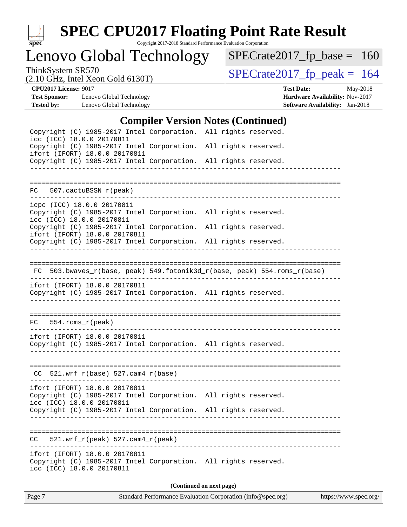

Copyright 2017-2018 Standard Performance Evaluation Corporation

Lenovo Global Technology

ThinkSystem SR570<br>  $(2.10 \text{ GHz})$  Intel Xeon Gold 6130T)

[SPECrate2017\\_fp\\_base =](http://www.spec.org/auto/cpu2017/Docs/result-fields.html#SPECrate2017fpbase) 160

(2.10 GHz, Intel Xeon Gold 6130T)

**[CPU2017 License:](http://www.spec.org/auto/cpu2017/Docs/result-fields.html#CPU2017License)** 9017 **[Test Date:](http://www.spec.org/auto/cpu2017/Docs/result-fields.html#TestDate)** May-2018 **[Test Sponsor:](http://www.spec.org/auto/cpu2017/Docs/result-fields.html#TestSponsor)** Lenovo Global Technology **[Hardware Availability:](http://www.spec.org/auto/cpu2017/Docs/result-fields.html#HardwareAvailability)** Nov-2017 **[Tested by:](http://www.spec.org/auto/cpu2017/Docs/result-fields.html#Testedby)** Lenovo Global Technology **[Software Availability:](http://www.spec.org/auto/cpu2017/Docs/result-fields.html#SoftwareAvailability)** Jan-2018

### **[Compiler Version Notes \(Continued\)](http://www.spec.org/auto/cpu2017/Docs/result-fields.html#CompilerVersionNotes)**

| Copyright (C) 1985-2017 Intel Corporation. All rights reserved.                                                               |                                  |                                                                          |
|-------------------------------------------------------------------------------------------------------------------------------|----------------------------------|--------------------------------------------------------------------------|
| icc (ICC) 18.0.0 20170811<br>Copyright (C) 1985-2017 Intel Corporation. All rights reserved.                                  |                                  |                                                                          |
| ifort (IFORT) 18.0.0 20170811<br>Copyright (C) 1985-2017 Intel Corporation. All rights reserved.                              |                                  |                                                                          |
|                                                                                                                               |                                  |                                                                          |
| FC 507.cactuBSSN_r(peak)                                                                                                      |                                  |                                                                          |
| icpc (ICC) 18.0.0 20170811<br>Copyright (C) 1985-2017 Intel Corporation. All rights reserved.<br>icc (ICC) 18.0.0 20170811    |                                  |                                                                          |
| Copyright (C) 1985-2017 Intel Corporation. All rights reserved.<br>ifort (IFORT) 18.0.0 20170811                              |                                  |                                                                          |
| Copyright (C) 1985-2017 Intel Corporation. All rights reserved.                                                               |                                  |                                                                          |
|                                                                                                                               |                                  |                                                                          |
|                                                                                                                               |                                  | FC 503.bwaves_r(base, peak) 549.fotonik3d_r(base, peak) 554.roms_r(base) |
| ifort (IFORT) 18.0.0 20170811<br>Copyright (C) 1985-2017 Intel Corporation. All rights reserved.<br>----------------------    | ________________________________ |                                                                          |
| $FC 554.rows_r (peak)$                                                                                                        |                                  |                                                                          |
| ifort (IFORT) 18.0.0 20170811<br>Copyright (C) 1985-2017 Intel Corporation. All rights reserved.                              |                                  |                                                                          |
| $CC$ 521.wrf_r(base) 527.cam4_r(base)                                                                                         |                                  |                                                                          |
| ifort (IFORT) 18.0.0 20170811<br>Copyright (C) 1985-2017 Intel Corporation. All rights reserved.<br>icc (ICC) 18.0.0 20170811 |                                  |                                                                          |
| Copyright (C) 1985-2017 Intel Corporation. All rights reserved.                                                               |                                  |                                                                          |
| $521.wrf_r(peak) 527.camf_r(peak)$<br>CC                                                                                      |                                  |                                                                          |
| ifort (IFORT) 18.0.0 20170811<br>Copyright (C) 1985-2017 Intel Corporation. All rights reserved.<br>icc (ICC) 18.0.0 20170811 |                                  |                                                                          |
|                                                                                                                               |                                  | (Continued on next page)                                                 |
|                                                                                                                               |                                  | andre Daubarten Champertin                                               |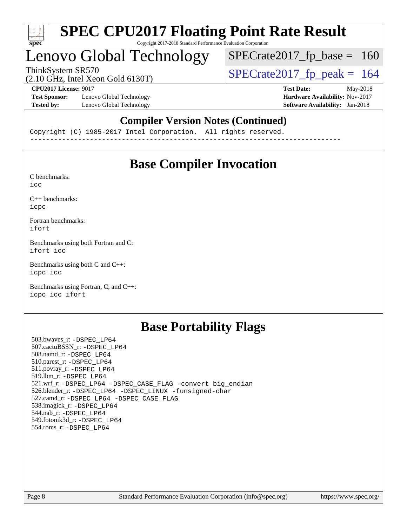

### Lenovo Global Technology

ThinkSystem SR570<br>(2.10 GHz, Intel Xeon Gold 6130T)  $\begin{array}{|l|l|}\n\hline\n\end{array}$  [SPECrate2017\\_fp\\_peak =](http://www.spec.org/auto/cpu2017/Docs/result-fields.html#SPECrate2017fppeak) 164

 $SPECTate2017_fp\_base = 160$ 

#### (2.10 GHz, Intel Xeon Gold 6130T)

**[Test Sponsor:](http://www.spec.org/auto/cpu2017/Docs/result-fields.html#TestSponsor)** Lenovo Global Technology **[Hardware Availability:](http://www.spec.org/auto/cpu2017/Docs/result-fields.html#HardwareAvailability)** Nov-2017 **[Tested by:](http://www.spec.org/auto/cpu2017/Docs/result-fields.html#Testedby)** Lenovo Global Technology **[Software Availability:](http://www.spec.org/auto/cpu2017/Docs/result-fields.html#SoftwareAvailability)** Jan-2018

**[CPU2017 License:](http://www.spec.org/auto/cpu2017/Docs/result-fields.html#CPU2017License)** 9017 **[Test Date:](http://www.spec.org/auto/cpu2017/Docs/result-fields.html#TestDate)** May-2018

### **[Compiler Version Notes \(Continued\)](http://www.spec.org/auto/cpu2017/Docs/result-fields.html#CompilerVersionNotes)**

Copyright (C) 1985-2017 Intel Corporation. All rights reserved. ------------------------------------------------------------------------------

### **[Base Compiler Invocation](http://www.spec.org/auto/cpu2017/Docs/result-fields.html#BaseCompilerInvocation)**

[C benchmarks](http://www.spec.org/auto/cpu2017/Docs/result-fields.html#Cbenchmarks): [icc](http://www.spec.org/cpu2017/results/res2018q2/cpu2017-20180529-06354.flags.html#user_CCbase_intel_icc_18.0_66fc1ee009f7361af1fbd72ca7dcefbb700085f36577c54f309893dd4ec40d12360134090235512931783d35fd58c0460139e722d5067c5574d8eaf2b3e37e92)

[C++ benchmarks:](http://www.spec.org/auto/cpu2017/Docs/result-fields.html#CXXbenchmarks) [icpc](http://www.spec.org/cpu2017/results/res2018q2/cpu2017-20180529-06354.flags.html#user_CXXbase_intel_icpc_18.0_c510b6838c7f56d33e37e94d029a35b4a7bccf4766a728ee175e80a419847e808290a9b78be685c44ab727ea267ec2f070ec5dc83b407c0218cded6866a35d07)

[Fortran benchmarks](http://www.spec.org/auto/cpu2017/Docs/result-fields.html#Fortranbenchmarks): [ifort](http://www.spec.org/cpu2017/results/res2018q2/cpu2017-20180529-06354.flags.html#user_FCbase_intel_ifort_18.0_8111460550e3ca792625aed983ce982f94888b8b503583aa7ba2b8303487b4d8a21a13e7191a45c5fd58ff318f48f9492884d4413fa793fd88dd292cad7027ca)

[Benchmarks using both Fortran and C](http://www.spec.org/auto/cpu2017/Docs/result-fields.html#BenchmarksusingbothFortranandC): [ifort](http://www.spec.org/cpu2017/results/res2018q2/cpu2017-20180529-06354.flags.html#user_CC_FCbase_intel_ifort_18.0_8111460550e3ca792625aed983ce982f94888b8b503583aa7ba2b8303487b4d8a21a13e7191a45c5fd58ff318f48f9492884d4413fa793fd88dd292cad7027ca) [icc](http://www.spec.org/cpu2017/results/res2018q2/cpu2017-20180529-06354.flags.html#user_CC_FCbase_intel_icc_18.0_66fc1ee009f7361af1fbd72ca7dcefbb700085f36577c54f309893dd4ec40d12360134090235512931783d35fd58c0460139e722d5067c5574d8eaf2b3e37e92)

[Benchmarks using both C and C++](http://www.spec.org/auto/cpu2017/Docs/result-fields.html#BenchmarksusingbothCandCXX): [icpc](http://www.spec.org/cpu2017/results/res2018q2/cpu2017-20180529-06354.flags.html#user_CC_CXXbase_intel_icpc_18.0_c510b6838c7f56d33e37e94d029a35b4a7bccf4766a728ee175e80a419847e808290a9b78be685c44ab727ea267ec2f070ec5dc83b407c0218cded6866a35d07) [icc](http://www.spec.org/cpu2017/results/res2018q2/cpu2017-20180529-06354.flags.html#user_CC_CXXbase_intel_icc_18.0_66fc1ee009f7361af1fbd72ca7dcefbb700085f36577c54f309893dd4ec40d12360134090235512931783d35fd58c0460139e722d5067c5574d8eaf2b3e37e92)

[Benchmarks using Fortran, C, and C++:](http://www.spec.org/auto/cpu2017/Docs/result-fields.html#BenchmarksusingFortranCandCXX) [icpc](http://www.spec.org/cpu2017/results/res2018q2/cpu2017-20180529-06354.flags.html#user_CC_CXX_FCbase_intel_icpc_18.0_c510b6838c7f56d33e37e94d029a35b4a7bccf4766a728ee175e80a419847e808290a9b78be685c44ab727ea267ec2f070ec5dc83b407c0218cded6866a35d07) [icc](http://www.spec.org/cpu2017/results/res2018q2/cpu2017-20180529-06354.flags.html#user_CC_CXX_FCbase_intel_icc_18.0_66fc1ee009f7361af1fbd72ca7dcefbb700085f36577c54f309893dd4ec40d12360134090235512931783d35fd58c0460139e722d5067c5574d8eaf2b3e37e92) [ifort](http://www.spec.org/cpu2017/results/res2018q2/cpu2017-20180529-06354.flags.html#user_CC_CXX_FCbase_intel_ifort_18.0_8111460550e3ca792625aed983ce982f94888b8b503583aa7ba2b8303487b4d8a21a13e7191a45c5fd58ff318f48f9492884d4413fa793fd88dd292cad7027ca)

### **[Base Portability Flags](http://www.spec.org/auto/cpu2017/Docs/result-fields.html#BasePortabilityFlags)**

 503.bwaves\_r: [-DSPEC\\_LP64](http://www.spec.org/cpu2017/results/res2018q2/cpu2017-20180529-06354.flags.html#suite_basePORTABILITY503_bwaves_r_DSPEC_LP64) 507.cactuBSSN\_r: [-DSPEC\\_LP64](http://www.spec.org/cpu2017/results/res2018q2/cpu2017-20180529-06354.flags.html#suite_basePORTABILITY507_cactuBSSN_r_DSPEC_LP64) 508.namd\_r: [-DSPEC\\_LP64](http://www.spec.org/cpu2017/results/res2018q2/cpu2017-20180529-06354.flags.html#suite_basePORTABILITY508_namd_r_DSPEC_LP64) 510.parest\_r: [-DSPEC\\_LP64](http://www.spec.org/cpu2017/results/res2018q2/cpu2017-20180529-06354.flags.html#suite_basePORTABILITY510_parest_r_DSPEC_LP64) 511.povray\_r: [-DSPEC\\_LP64](http://www.spec.org/cpu2017/results/res2018q2/cpu2017-20180529-06354.flags.html#suite_basePORTABILITY511_povray_r_DSPEC_LP64) 519.lbm\_r: [-DSPEC\\_LP64](http://www.spec.org/cpu2017/results/res2018q2/cpu2017-20180529-06354.flags.html#suite_basePORTABILITY519_lbm_r_DSPEC_LP64) 521.wrf\_r: [-DSPEC\\_LP64](http://www.spec.org/cpu2017/results/res2018q2/cpu2017-20180529-06354.flags.html#suite_basePORTABILITY521_wrf_r_DSPEC_LP64) [-DSPEC\\_CASE\\_FLAG](http://www.spec.org/cpu2017/results/res2018q2/cpu2017-20180529-06354.flags.html#b521.wrf_r_baseCPORTABILITY_DSPEC_CASE_FLAG) [-convert big\\_endian](http://www.spec.org/cpu2017/results/res2018q2/cpu2017-20180529-06354.flags.html#user_baseFPORTABILITY521_wrf_r_convert_big_endian_c3194028bc08c63ac5d04de18c48ce6d347e4e562e8892b8bdbdc0214820426deb8554edfa529a3fb25a586e65a3d812c835984020483e7e73212c4d31a38223) 526.blender\_r: [-DSPEC\\_LP64](http://www.spec.org/cpu2017/results/res2018q2/cpu2017-20180529-06354.flags.html#suite_basePORTABILITY526_blender_r_DSPEC_LP64) [-DSPEC\\_LINUX](http://www.spec.org/cpu2017/results/res2018q2/cpu2017-20180529-06354.flags.html#b526.blender_r_baseCPORTABILITY_DSPEC_LINUX) [-funsigned-char](http://www.spec.org/cpu2017/results/res2018q2/cpu2017-20180529-06354.flags.html#user_baseCPORTABILITY526_blender_r_force_uchar_40c60f00ab013830e2dd6774aeded3ff59883ba5a1fc5fc14077f794d777847726e2a5858cbc7672e36e1b067e7e5c1d9a74f7176df07886a243d7cc18edfe67) 527.cam4\_r: [-DSPEC\\_LP64](http://www.spec.org/cpu2017/results/res2018q2/cpu2017-20180529-06354.flags.html#suite_basePORTABILITY527_cam4_r_DSPEC_LP64) [-DSPEC\\_CASE\\_FLAG](http://www.spec.org/cpu2017/results/res2018q2/cpu2017-20180529-06354.flags.html#b527.cam4_r_baseCPORTABILITY_DSPEC_CASE_FLAG) 538.imagick\_r: [-DSPEC\\_LP64](http://www.spec.org/cpu2017/results/res2018q2/cpu2017-20180529-06354.flags.html#suite_basePORTABILITY538_imagick_r_DSPEC_LP64) 544.nab\_r: [-DSPEC\\_LP64](http://www.spec.org/cpu2017/results/res2018q2/cpu2017-20180529-06354.flags.html#suite_basePORTABILITY544_nab_r_DSPEC_LP64) 549.fotonik3d\_r: [-DSPEC\\_LP64](http://www.spec.org/cpu2017/results/res2018q2/cpu2017-20180529-06354.flags.html#suite_basePORTABILITY549_fotonik3d_r_DSPEC_LP64) 554.roms\_r: [-DSPEC\\_LP64](http://www.spec.org/cpu2017/results/res2018q2/cpu2017-20180529-06354.flags.html#suite_basePORTABILITY554_roms_r_DSPEC_LP64)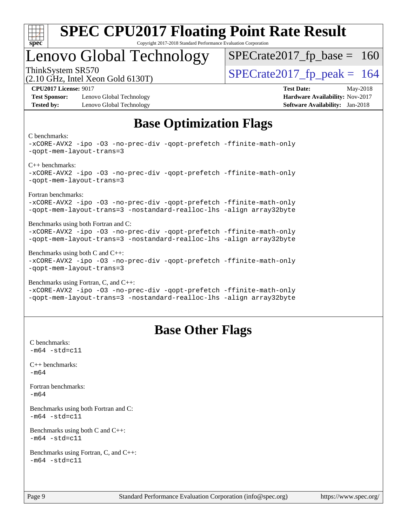

### Lenovo Global Technology

ThinkSystem SR570<br>(2.10 GHz, Intel Year Gold 6130T)  $\text{SPECrate2017\_fp\_peak} = 164$  $SPECTate2017_fp\_base = 160$ 

(2.10 GHz, Intel Xeon Gold 6130T)

**[Test Sponsor:](http://www.spec.org/auto/cpu2017/Docs/result-fields.html#TestSponsor)** Lenovo Global Technology **[Hardware Availability:](http://www.spec.org/auto/cpu2017/Docs/result-fields.html#HardwareAvailability)** Nov-2017 **[Tested by:](http://www.spec.org/auto/cpu2017/Docs/result-fields.html#Testedby)** Lenovo Global Technology **[Software Availability:](http://www.spec.org/auto/cpu2017/Docs/result-fields.html#SoftwareAvailability)** Jan-2018

**[CPU2017 License:](http://www.spec.org/auto/cpu2017/Docs/result-fields.html#CPU2017License)** 9017 **[Test Date:](http://www.spec.org/auto/cpu2017/Docs/result-fields.html#TestDate)** May-2018

### **[Base Optimization Flags](http://www.spec.org/auto/cpu2017/Docs/result-fields.html#BaseOptimizationFlags)**

[C benchmarks](http://www.spec.org/auto/cpu2017/Docs/result-fields.html#Cbenchmarks):

[-xCORE-AVX2](http://www.spec.org/cpu2017/results/res2018q2/cpu2017-20180529-06354.flags.html#user_CCbase_f-xCORE-AVX2) [-ipo](http://www.spec.org/cpu2017/results/res2018q2/cpu2017-20180529-06354.flags.html#user_CCbase_f-ipo) [-O3](http://www.spec.org/cpu2017/results/res2018q2/cpu2017-20180529-06354.flags.html#user_CCbase_f-O3) [-no-prec-div](http://www.spec.org/cpu2017/results/res2018q2/cpu2017-20180529-06354.flags.html#user_CCbase_f-no-prec-div) [-qopt-prefetch](http://www.spec.org/cpu2017/results/res2018q2/cpu2017-20180529-06354.flags.html#user_CCbase_f-qopt-prefetch) [-ffinite-math-only](http://www.spec.org/cpu2017/results/res2018q2/cpu2017-20180529-06354.flags.html#user_CCbase_f_finite_math_only_cb91587bd2077682c4b38af759c288ed7c732db004271a9512da14a4f8007909a5f1427ecbf1a0fb78ff2a814402c6114ac565ca162485bbcae155b5e4258871) [-qopt-mem-layout-trans=3](http://www.spec.org/cpu2017/results/res2018q2/cpu2017-20180529-06354.flags.html#user_CCbase_f-qopt-mem-layout-trans_de80db37974c74b1f0e20d883f0b675c88c3b01e9d123adea9b28688d64333345fb62bc4a798493513fdb68f60282f9a726aa07f478b2f7113531aecce732043) [C++ benchmarks](http://www.spec.org/auto/cpu2017/Docs/result-fields.html#CXXbenchmarks): [-xCORE-AVX2](http://www.spec.org/cpu2017/results/res2018q2/cpu2017-20180529-06354.flags.html#user_CXXbase_f-xCORE-AVX2) [-ipo](http://www.spec.org/cpu2017/results/res2018q2/cpu2017-20180529-06354.flags.html#user_CXXbase_f-ipo) [-O3](http://www.spec.org/cpu2017/results/res2018q2/cpu2017-20180529-06354.flags.html#user_CXXbase_f-O3) [-no-prec-div](http://www.spec.org/cpu2017/results/res2018q2/cpu2017-20180529-06354.flags.html#user_CXXbase_f-no-prec-div) [-qopt-prefetch](http://www.spec.org/cpu2017/results/res2018q2/cpu2017-20180529-06354.flags.html#user_CXXbase_f-qopt-prefetch) [-ffinite-math-only](http://www.spec.org/cpu2017/results/res2018q2/cpu2017-20180529-06354.flags.html#user_CXXbase_f_finite_math_only_cb91587bd2077682c4b38af759c288ed7c732db004271a9512da14a4f8007909a5f1427ecbf1a0fb78ff2a814402c6114ac565ca162485bbcae155b5e4258871) [-qopt-mem-layout-trans=3](http://www.spec.org/cpu2017/results/res2018q2/cpu2017-20180529-06354.flags.html#user_CXXbase_f-qopt-mem-layout-trans_de80db37974c74b1f0e20d883f0b675c88c3b01e9d123adea9b28688d64333345fb62bc4a798493513fdb68f60282f9a726aa07f478b2f7113531aecce732043) [Fortran benchmarks:](http://www.spec.org/auto/cpu2017/Docs/result-fields.html#Fortranbenchmarks) [-xCORE-AVX2](http://www.spec.org/cpu2017/results/res2018q2/cpu2017-20180529-06354.flags.html#user_FCbase_f-xCORE-AVX2) [-ipo](http://www.spec.org/cpu2017/results/res2018q2/cpu2017-20180529-06354.flags.html#user_FCbase_f-ipo) [-O3](http://www.spec.org/cpu2017/results/res2018q2/cpu2017-20180529-06354.flags.html#user_FCbase_f-O3) [-no-prec-div](http://www.spec.org/cpu2017/results/res2018q2/cpu2017-20180529-06354.flags.html#user_FCbase_f-no-prec-div) [-qopt-prefetch](http://www.spec.org/cpu2017/results/res2018q2/cpu2017-20180529-06354.flags.html#user_FCbase_f-qopt-prefetch) [-ffinite-math-only](http://www.spec.org/cpu2017/results/res2018q2/cpu2017-20180529-06354.flags.html#user_FCbase_f_finite_math_only_cb91587bd2077682c4b38af759c288ed7c732db004271a9512da14a4f8007909a5f1427ecbf1a0fb78ff2a814402c6114ac565ca162485bbcae155b5e4258871) [-qopt-mem-layout-trans=3](http://www.spec.org/cpu2017/results/res2018q2/cpu2017-20180529-06354.flags.html#user_FCbase_f-qopt-mem-layout-trans_de80db37974c74b1f0e20d883f0b675c88c3b01e9d123adea9b28688d64333345fb62bc4a798493513fdb68f60282f9a726aa07f478b2f7113531aecce732043) [-nostandard-realloc-lhs](http://www.spec.org/cpu2017/results/res2018q2/cpu2017-20180529-06354.flags.html#user_FCbase_f_2003_std_realloc_82b4557e90729c0f113870c07e44d33d6f5a304b4f63d4c15d2d0f1fab99f5daaed73bdb9275d9ae411527f28b936061aa8b9c8f2d63842963b95c9dd6426b8a) [-align array32byte](http://www.spec.org/cpu2017/results/res2018q2/cpu2017-20180529-06354.flags.html#user_FCbase_align_array32byte_b982fe038af199962ba9a80c053b8342c548c85b40b8e86eb3cc33dee0d7986a4af373ac2d51c3f7cf710a18d62fdce2948f201cd044323541f22fc0fffc51b6) [Benchmarks using both Fortran and C](http://www.spec.org/auto/cpu2017/Docs/result-fields.html#BenchmarksusingbothFortranandC): [-xCORE-AVX2](http://www.spec.org/cpu2017/results/res2018q2/cpu2017-20180529-06354.flags.html#user_CC_FCbase_f-xCORE-AVX2) [-ipo](http://www.spec.org/cpu2017/results/res2018q2/cpu2017-20180529-06354.flags.html#user_CC_FCbase_f-ipo) [-O3](http://www.spec.org/cpu2017/results/res2018q2/cpu2017-20180529-06354.flags.html#user_CC_FCbase_f-O3) [-no-prec-div](http://www.spec.org/cpu2017/results/res2018q2/cpu2017-20180529-06354.flags.html#user_CC_FCbase_f-no-prec-div) [-qopt-prefetch](http://www.spec.org/cpu2017/results/res2018q2/cpu2017-20180529-06354.flags.html#user_CC_FCbase_f-qopt-prefetch) [-ffinite-math-only](http://www.spec.org/cpu2017/results/res2018q2/cpu2017-20180529-06354.flags.html#user_CC_FCbase_f_finite_math_only_cb91587bd2077682c4b38af759c288ed7c732db004271a9512da14a4f8007909a5f1427ecbf1a0fb78ff2a814402c6114ac565ca162485bbcae155b5e4258871) [-qopt-mem-layout-trans=3](http://www.spec.org/cpu2017/results/res2018q2/cpu2017-20180529-06354.flags.html#user_CC_FCbase_f-qopt-mem-layout-trans_de80db37974c74b1f0e20d883f0b675c88c3b01e9d123adea9b28688d64333345fb62bc4a798493513fdb68f60282f9a726aa07f478b2f7113531aecce732043) [-nostandard-realloc-lhs](http://www.spec.org/cpu2017/results/res2018q2/cpu2017-20180529-06354.flags.html#user_CC_FCbase_f_2003_std_realloc_82b4557e90729c0f113870c07e44d33d6f5a304b4f63d4c15d2d0f1fab99f5daaed73bdb9275d9ae411527f28b936061aa8b9c8f2d63842963b95c9dd6426b8a) [-align array32byte](http://www.spec.org/cpu2017/results/res2018q2/cpu2017-20180529-06354.flags.html#user_CC_FCbase_align_array32byte_b982fe038af199962ba9a80c053b8342c548c85b40b8e86eb3cc33dee0d7986a4af373ac2d51c3f7cf710a18d62fdce2948f201cd044323541f22fc0fffc51b6) [Benchmarks using both C and C++:](http://www.spec.org/auto/cpu2017/Docs/result-fields.html#BenchmarksusingbothCandCXX) [-xCORE-AVX2](http://www.spec.org/cpu2017/results/res2018q2/cpu2017-20180529-06354.flags.html#user_CC_CXXbase_f-xCORE-AVX2) [-ipo](http://www.spec.org/cpu2017/results/res2018q2/cpu2017-20180529-06354.flags.html#user_CC_CXXbase_f-ipo) [-O3](http://www.spec.org/cpu2017/results/res2018q2/cpu2017-20180529-06354.flags.html#user_CC_CXXbase_f-O3) [-no-prec-div](http://www.spec.org/cpu2017/results/res2018q2/cpu2017-20180529-06354.flags.html#user_CC_CXXbase_f-no-prec-div) [-qopt-prefetch](http://www.spec.org/cpu2017/results/res2018q2/cpu2017-20180529-06354.flags.html#user_CC_CXXbase_f-qopt-prefetch) [-ffinite-math-only](http://www.spec.org/cpu2017/results/res2018q2/cpu2017-20180529-06354.flags.html#user_CC_CXXbase_f_finite_math_only_cb91587bd2077682c4b38af759c288ed7c732db004271a9512da14a4f8007909a5f1427ecbf1a0fb78ff2a814402c6114ac565ca162485bbcae155b5e4258871) [-qopt-mem-layout-trans=3](http://www.spec.org/cpu2017/results/res2018q2/cpu2017-20180529-06354.flags.html#user_CC_CXXbase_f-qopt-mem-layout-trans_de80db37974c74b1f0e20d883f0b675c88c3b01e9d123adea9b28688d64333345fb62bc4a798493513fdb68f60282f9a726aa07f478b2f7113531aecce732043) [Benchmarks using Fortran, C, and C++](http://www.spec.org/auto/cpu2017/Docs/result-fields.html#BenchmarksusingFortranCandCXX): [-xCORE-AVX2](http://www.spec.org/cpu2017/results/res2018q2/cpu2017-20180529-06354.flags.html#user_CC_CXX_FCbase_f-xCORE-AVX2) [-ipo](http://www.spec.org/cpu2017/results/res2018q2/cpu2017-20180529-06354.flags.html#user_CC_CXX_FCbase_f-ipo) [-O3](http://www.spec.org/cpu2017/results/res2018q2/cpu2017-20180529-06354.flags.html#user_CC_CXX_FCbase_f-O3) [-no-prec-div](http://www.spec.org/cpu2017/results/res2018q2/cpu2017-20180529-06354.flags.html#user_CC_CXX_FCbase_f-no-prec-div) [-qopt-prefetch](http://www.spec.org/cpu2017/results/res2018q2/cpu2017-20180529-06354.flags.html#user_CC_CXX_FCbase_f-qopt-prefetch) [-ffinite-math-only](http://www.spec.org/cpu2017/results/res2018q2/cpu2017-20180529-06354.flags.html#user_CC_CXX_FCbase_f_finite_math_only_cb91587bd2077682c4b38af759c288ed7c732db004271a9512da14a4f8007909a5f1427ecbf1a0fb78ff2a814402c6114ac565ca162485bbcae155b5e4258871)

[-qopt-mem-layout-trans=3](http://www.spec.org/cpu2017/results/res2018q2/cpu2017-20180529-06354.flags.html#user_CC_CXX_FCbase_f-qopt-mem-layout-trans_de80db37974c74b1f0e20d883f0b675c88c3b01e9d123adea9b28688d64333345fb62bc4a798493513fdb68f60282f9a726aa07f478b2f7113531aecce732043) [-nostandard-realloc-lhs](http://www.spec.org/cpu2017/results/res2018q2/cpu2017-20180529-06354.flags.html#user_CC_CXX_FCbase_f_2003_std_realloc_82b4557e90729c0f113870c07e44d33d6f5a304b4f63d4c15d2d0f1fab99f5daaed73bdb9275d9ae411527f28b936061aa8b9c8f2d63842963b95c9dd6426b8a) [-align array32byte](http://www.spec.org/cpu2017/results/res2018q2/cpu2017-20180529-06354.flags.html#user_CC_CXX_FCbase_align_array32byte_b982fe038af199962ba9a80c053b8342c548c85b40b8e86eb3cc33dee0d7986a4af373ac2d51c3f7cf710a18d62fdce2948f201cd044323541f22fc0fffc51b6)

### **[Base Other Flags](http://www.spec.org/auto/cpu2017/Docs/result-fields.html#BaseOtherFlags)**

[C benchmarks](http://www.spec.org/auto/cpu2017/Docs/result-fields.html#Cbenchmarks):  $-m64 - std = c11$  $-m64 - std = c11$ [C++ benchmarks:](http://www.spec.org/auto/cpu2017/Docs/result-fields.html#CXXbenchmarks) [-m64](http://www.spec.org/cpu2017/results/res2018q2/cpu2017-20180529-06354.flags.html#user_CXXbase_intel_intel64_18.0_af43caccfc8ded86e7699f2159af6efc7655f51387b94da716254467f3c01020a5059329e2569e4053f409e7c9202a7efc638f7a6d1ffb3f52dea4a3e31d82ab) [Fortran benchmarks](http://www.spec.org/auto/cpu2017/Docs/result-fields.html#Fortranbenchmarks): [-m64](http://www.spec.org/cpu2017/results/res2018q2/cpu2017-20180529-06354.flags.html#user_FCbase_intel_intel64_18.0_af43caccfc8ded86e7699f2159af6efc7655f51387b94da716254467f3c01020a5059329e2569e4053f409e7c9202a7efc638f7a6d1ffb3f52dea4a3e31d82ab) [Benchmarks using both Fortran and C](http://www.spec.org/auto/cpu2017/Docs/result-fields.html#BenchmarksusingbothFortranandC):  $-m64$   $-std=cl1$ [Benchmarks using both C and C++](http://www.spec.org/auto/cpu2017/Docs/result-fields.html#BenchmarksusingbothCandCXX):  $-m64 - std= c11$  $-m64 - std= c11$ [Benchmarks using Fortran, C, and C++:](http://www.spec.org/auto/cpu2017/Docs/result-fields.html#BenchmarksusingFortranCandCXX)  $-m64 - std = c11$  $-m64 - std = c11$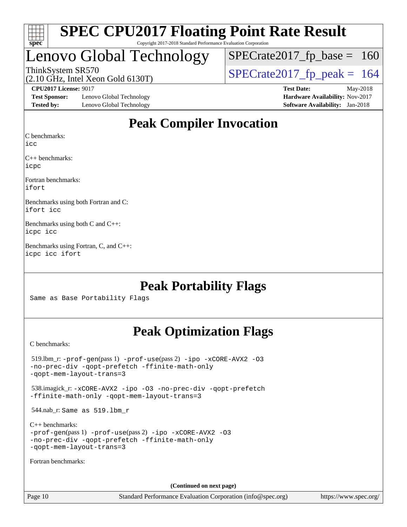| S<br>۱t<br>١<br>U<br>ι. |  |  |  |  |  |  |  |
|-------------------------|--|--|--|--|--|--|--|

### Lenovo Global Technology

ThinkSystem SR570<br>(2.10 GHz, Intel Xeon Gold 6130T)  $\begin{array}{|l|l|}\n\hline\n\end{array}$  [SPECrate2017\\_fp\\_peak =](http://www.spec.org/auto/cpu2017/Docs/result-fields.html#SPECrate2017fppeak) 164  $SPECTate2017_fp\_base = 160$ 

(2.10 GHz, Intel Xeon Gold 6130T)

**[Test Sponsor:](http://www.spec.org/auto/cpu2017/Docs/result-fields.html#TestSponsor)** Lenovo Global Technology **[Hardware Availability:](http://www.spec.org/auto/cpu2017/Docs/result-fields.html#HardwareAvailability)** Nov-2017 **[Tested by:](http://www.spec.org/auto/cpu2017/Docs/result-fields.html#Testedby)** Lenovo Global Technology **[Software Availability:](http://www.spec.org/auto/cpu2017/Docs/result-fields.html#SoftwareAvailability)** Jan-2018

**[CPU2017 License:](http://www.spec.org/auto/cpu2017/Docs/result-fields.html#CPU2017License)** 9017 **[Test Date:](http://www.spec.org/auto/cpu2017/Docs/result-fields.html#TestDate)** May-2018

### **[Peak Compiler Invocation](http://www.spec.org/auto/cpu2017/Docs/result-fields.html#PeakCompilerInvocation)**

[C benchmarks](http://www.spec.org/auto/cpu2017/Docs/result-fields.html#Cbenchmarks):

[icc](http://www.spec.org/cpu2017/results/res2018q2/cpu2017-20180529-06354.flags.html#user_CCpeak_intel_icc_18.0_66fc1ee009f7361af1fbd72ca7dcefbb700085f36577c54f309893dd4ec40d12360134090235512931783d35fd58c0460139e722d5067c5574d8eaf2b3e37e92)

[C++ benchmarks:](http://www.spec.org/auto/cpu2017/Docs/result-fields.html#CXXbenchmarks) [icpc](http://www.spec.org/cpu2017/results/res2018q2/cpu2017-20180529-06354.flags.html#user_CXXpeak_intel_icpc_18.0_c510b6838c7f56d33e37e94d029a35b4a7bccf4766a728ee175e80a419847e808290a9b78be685c44ab727ea267ec2f070ec5dc83b407c0218cded6866a35d07)

[Fortran benchmarks](http://www.spec.org/auto/cpu2017/Docs/result-fields.html#Fortranbenchmarks): [ifort](http://www.spec.org/cpu2017/results/res2018q2/cpu2017-20180529-06354.flags.html#user_FCpeak_intel_ifort_18.0_8111460550e3ca792625aed983ce982f94888b8b503583aa7ba2b8303487b4d8a21a13e7191a45c5fd58ff318f48f9492884d4413fa793fd88dd292cad7027ca)

[Benchmarks using both Fortran and C](http://www.spec.org/auto/cpu2017/Docs/result-fields.html#BenchmarksusingbothFortranandC): [ifort](http://www.spec.org/cpu2017/results/res2018q2/cpu2017-20180529-06354.flags.html#user_CC_FCpeak_intel_ifort_18.0_8111460550e3ca792625aed983ce982f94888b8b503583aa7ba2b8303487b4d8a21a13e7191a45c5fd58ff318f48f9492884d4413fa793fd88dd292cad7027ca) [icc](http://www.spec.org/cpu2017/results/res2018q2/cpu2017-20180529-06354.flags.html#user_CC_FCpeak_intel_icc_18.0_66fc1ee009f7361af1fbd72ca7dcefbb700085f36577c54f309893dd4ec40d12360134090235512931783d35fd58c0460139e722d5067c5574d8eaf2b3e37e92)

[Benchmarks using both C and C++:](http://www.spec.org/auto/cpu2017/Docs/result-fields.html#BenchmarksusingbothCandCXX) [icpc](http://www.spec.org/cpu2017/results/res2018q2/cpu2017-20180529-06354.flags.html#user_CC_CXXpeak_intel_icpc_18.0_c510b6838c7f56d33e37e94d029a35b4a7bccf4766a728ee175e80a419847e808290a9b78be685c44ab727ea267ec2f070ec5dc83b407c0218cded6866a35d07) [icc](http://www.spec.org/cpu2017/results/res2018q2/cpu2017-20180529-06354.flags.html#user_CC_CXXpeak_intel_icc_18.0_66fc1ee009f7361af1fbd72ca7dcefbb700085f36577c54f309893dd4ec40d12360134090235512931783d35fd58c0460139e722d5067c5574d8eaf2b3e37e92)

[Benchmarks using Fortran, C, and C++](http://www.spec.org/auto/cpu2017/Docs/result-fields.html#BenchmarksusingFortranCandCXX): [icpc](http://www.spec.org/cpu2017/results/res2018q2/cpu2017-20180529-06354.flags.html#user_CC_CXX_FCpeak_intel_icpc_18.0_c510b6838c7f56d33e37e94d029a35b4a7bccf4766a728ee175e80a419847e808290a9b78be685c44ab727ea267ec2f070ec5dc83b407c0218cded6866a35d07) [icc](http://www.spec.org/cpu2017/results/res2018q2/cpu2017-20180529-06354.flags.html#user_CC_CXX_FCpeak_intel_icc_18.0_66fc1ee009f7361af1fbd72ca7dcefbb700085f36577c54f309893dd4ec40d12360134090235512931783d35fd58c0460139e722d5067c5574d8eaf2b3e37e92) [ifort](http://www.spec.org/cpu2017/results/res2018q2/cpu2017-20180529-06354.flags.html#user_CC_CXX_FCpeak_intel_ifort_18.0_8111460550e3ca792625aed983ce982f94888b8b503583aa7ba2b8303487b4d8a21a13e7191a45c5fd58ff318f48f9492884d4413fa793fd88dd292cad7027ca)

### **[Peak Portability Flags](http://www.spec.org/auto/cpu2017/Docs/result-fields.html#PeakPortabilityFlags)**

Same as Base Portability Flags

### **[Peak Optimization Flags](http://www.spec.org/auto/cpu2017/Docs/result-fields.html#PeakOptimizationFlags)**

[C benchmarks](http://www.spec.org/auto/cpu2017/Docs/result-fields.html#Cbenchmarks):

 519.lbm\_r: [-prof-gen](http://www.spec.org/cpu2017/results/res2018q2/cpu2017-20180529-06354.flags.html#user_peakPASS1_CFLAGSPASS1_LDFLAGS519_lbm_r_prof_gen_5aa4926d6013ddb2a31985c654b3eb18169fc0c6952a63635c234f711e6e63dd76e94ad52365559451ec499a2cdb89e4dc58ba4c67ef54ca681ffbe1461d6b36)(pass 1) [-prof-use](http://www.spec.org/cpu2017/results/res2018q2/cpu2017-20180529-06354.flags.html#user_peakPASS2_CFLAGSPASS2_LDFLAGS519_lbm_r_prof_use_1a21ceae95f36a2b53c25747139a6c16ca95bd9def2a207b4f0849963b97e94f5260e30a0c64f4bb623698870e679ca08317ef8150905d41bd88c6f78df73f19)(pass 2) [-ipo](http://www.spec.org/cpu2017/results/res2018q2/cpu2017-20180529-06354.flags.html#user_peakPASS1_COPTIMIZEPASS2_COPTIMIZE519_lbm_r_f-ipo) [-xCORE-AVX2](http://www.spec.org/cpu2017/results/res2018q2/cpu2017-20180529-06354.flags.html#user_peakPASS2_COPTIMIZE519_lbm_r_f-xCORE-AVX2) [-O3](http://www.spec.org/cpu2017/results/res2018q2/cpu2017-20180529-06354.flags.html#user_peakPASS1_COPTIMIZEPASS2_COPTIMIZE519_lbm_r_f-O3) [-no-prec-div](http://www.spec.org/cpu2017/results/res2018q2/cpu2017-20180529-06354.flags.html#user_peakPASS1_COPTIMIZEPASS2_COPTIMIZE519_lbm_r_f-no-prec-div) [-qopt-prefetch](http://www.spec.org/cpu2017/results/res2018q2/cpu2017-20180529-06354.flags.html#user_peakPASS1_COPTIMIZEPASS2_COPTIMIZE519_lbm_r_f-qopt-prefetch) [-ffinite-math-only](http://www.spec.org/cpu2017/results/res2018q2/cpu2017-20180529-06354.flags.html#user_peakPASS1_COPTIMIZEPASS2_COPTIMIZE519_lbm_r_f_finite_math_only_cb91587bd2077682c4b38af759c288ed7c732db004271a9512da14a4f8007909a5f1427ecbf1a0fb78ff2a814402c6114ac565ca162485bbcae155b5e4258871) [-qopt-mem-layout-trans=3](http://www.spec.org/cpu2017/results/res2018q2/cpu2017-20180529-06354.flags.html#user_peakPASS1_COPTIMIZEPASS2_COPTIMIZE519_lbm_r_f-qopt-mem-layout-trans_de80db37974c74b1f0e20d883f0b675c88c3b01e9d123adea9b28688d64333345fb62bc4a798493513fdb68f60282f9a726aa07f478b2f7113531aecce732043) 538.imagick\_r: [-xCORE-AVX2](http://www.spec.org/cpu2017/results/res2018q2/cpu2017-20180529-06354.flags.html#user_peakCOPTIMIZE538_imagick_r_f-xCORE-AVX2) [-ipo](http://www.spec.org/cpu2017/results/res2018q2/cpu2017-20180529-06354.flags.html#user_peakCOPTIMIZE538_imagick_r_f-ipo) [-O3](http://www.spec.org/cpu2017/results/res2018q2/cpu2017-20180529-06354.flags.html#user_peakCOPTIMIZE538_imagick_r_f-O3) [-no-prec-div](http://www.spec.org/cpu2017/results/res2018q2/cpu2017-20180529-06354.flags.html#user_peakCOPTIMIZE538_imagick_r_f-no-prec-div) [-qopt-prefetch](http://www.spec.org/cpu2017/results/res2018q2/cpu2017-20180529-06354.flags.html#user_peakCOPTIMIZE538_imagick_r_f-qopt-prefetch) [-ffinite-math-only](http://www.spec.org/cpu2017/results/res2018q2/cpu2017-20180529-06354.flags.html#user_peakCOPTIMIZE538_imagick_r_f_finite_math_only_cb91587bd2077682c4b38af759c288ed7c732db004271a9512da14a4f8007909a5f1427ecbf1a0fb78ff2a814402c6114ac565ca162485bbcae155b5e4258871) [-qopt-mem-layout-trans=3](http://www.spec.org/cpu2017/results/res2018q2/cpu2017-20180529-06354.flags.html#user_peakCOPTIMIZE538_imagick_r_f-qopt-mem-layout-trans_de80db37974c74b1f0e20d883f0b675c88c3b01e9d123adea9b28688d64333345fb62bc4a798493513fdb68f60282f9a726aa07f478b2f7113531aecce732043) 544.nab\_r: Same as 519.lbm\_r [C++ benchmarks:](http://www.spec.org/auto/cpu2017/Docs/result-fields.html#CXXbenchmarks) [-prof-gen](http://www.spec.org/cpu2017/results/res2018q2/cpu2017-20180529-06354.flags.html#user_CXXpeak_prof_gen_5aa4926d6013ddb2a31985c654b3eb18169fc0c6952a63635c234f711e6e63dd76e94ad52365559451ec499a2cdb89e4dc58ba4c67ef54ca681ffbe1461d6b36)(pass 1) [-prof-use](http://www.spec.org/cpu2017/results/res2018q2/cpu2017-20180529-06354.flags.html#user_CXXpeak_prof_use_1a21ceae95f36a2b53c25747139a6c16ca95bd9def2a207b4f0849963b97e94f5260e30a0c64f4bb623698870e679ca08317ef8150905d41bd88c6f78df73f19)(pass 2) [-ipo](http://www.spec.org/cpu2017/results/res2018q2/cpu2017-20180529-06354.flags.html#user_CXXpeak_f-ipo) [-xCORE-AVX2](http://www.spec.org/cpu2017/results/res2018q2/cpu2017-20180529-06354.flags.html#user_CXXpeak_f-xCORE-AVX2) [-O3](http://www.spec.org/cpu2017/results/res2018q2/cpu2017-20180529-06354.flags.html#user_CXXpeak_f-O3) [-no-prec-div](http://www.spec.org/cpu2017/results/res2018q2/cpu2017-20180529-06354.flags.html#user_CXXpeak_f-no-prec-div) [-qopt-prefetch](http://www.spec.org/cpu2017/results/res2018q2/cpu2017-20180529-06354.flags.html#user_CXXpeak_f-qopt-prefetch) [-ffinite-math-only](http://www.spec.org/cpu2017/results/res2018q2/cpu2017-20180529-06354.flags.html#user_CXXpeak_f_finite_math_only_cb91587bd2077682c4b38af759c288ed7c732db004271a9512da14a4f8007909a5f1427ecbf1a0fb78ff2a814402c6114ac565ca162485bbcae155b5e4258871) [-qopt-mem-layout-trans=3](http://www.spec.org/cpu2017/results/res2018q2/cpu2017-20180529-06354.flags.html#user_CXXpeak_f-qopt-mem-layout-trans_de80db37974c74b1f0e20d883f0b675c88c3b01e9d123adea9b28688d64333345fb62bc4a798493513fdb68f60282f9a726aa07f478b2f7113531aecce732043) [Fortran benchmarks](http://www.spec.org/auto/cpu2017/Docs/result-fields.html#Fortranbenchmarks): **(Continued on next page)**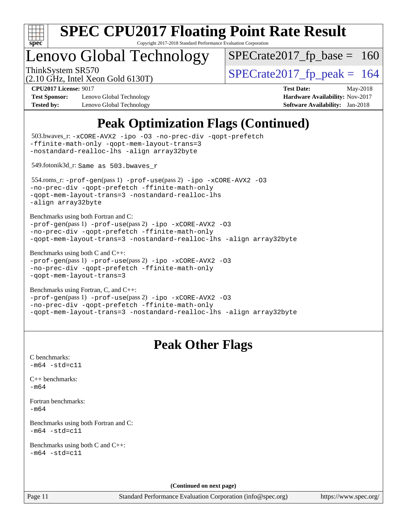

## enovo Global Technology

ThinkSystem SR570<br>(2.10 GHz, Intel Year Gold 6130T)  $\text{SPECrate2017\_fp\_peak} = 164$  $SPECTate2017_fp\_base = 160$ 

(2.10 GHz, Intel Xeon Gold 6130T)

**[Test Sponsor:](http://www.spec.org/auto/cpu2017/Docs/result-fields.html#TestSponsor)** Lenovo Global Technology **[Hardware Availability:](http://www.spec.org/auto/cpu2017/Docs/result-fields.html#HardwareAvailability)** Nov-2017 **[Tested by:](http://www.spec.org/auto/cpu2017/Docs/result-fields.html#Testedby)** Lenovo Global Technology **[Software Availability:](http://www.spec.org/auto/cpu2017/Docs/result-fields.html#SoftwareAvailability)** Jan-2018

**[CPU2017 License:](http://www.spec.org/auto/cpu2017/Docs/result-fields.html#CPU2017License)** 9017 **[Test Date:](http://www.spec.org/auto/cpu2017/Docs/result-fields.html#TestDate)** May-2018

### **[Peak Optimization Flags \(Continued\)](http://www.spec.org/auto/cpu2017/Docs/result-fields.html#PeakOptimizationFlags)**

```
(info@spec.org)https://www.spec.org/
  503.bwaves_r: -xCORE-AVX2 -ipo -O3 -no-prec-div -qopt-prefetch
-ffinite-math-only -qopt-mem-layout-trans=3
-nostandard-realloc-lhs -align array32byte
  549.fotonik3d_r: Same as 503.bwaves_r
  554.roms_r: -prof-gen(pass 1) -prof-use(pass 2) -ipo -xCORE-AVX2 -O3
-no-prec-div -qopt-prefetch -ffinite-math-only
-qopt-mem-layout-trans=3 -nostandard-realloc-lhs
-align array32byte
Benchmarks using both Fortran and C: 
-prof-gen(pass 1) -prof-use(pass 2) -ipo -xCORE-AVX2 -O3
-no-prec-div -qopt-prefetch -ffinite-math-only
-qopt-mem-layout-trans=3 -nostandard-realloc-lhs -align array32byte
Benchmarks using both C and C++: 
-prof-gen(pass 1) -prof-use(pass 2) -ipo -xCORE-AVX2 -O3
-no-prec-div -qopt-prefetch -ffinite-math-only
-qopt-mem-layout-trans=3
Benchmarks using Fortran, C, and C++: 
-prof-gen(pass 1) -prof-use(pass 2) -ipo -xCORE-AVX2 -O3
-no-prec-div -qopt-prefetch -ffinite-math-only
-qopt-mem-layout-trans=3 -nostandard-realloc-lhs -align array32byte
                                 Peak Other Flags
C benchmarks: 
-m64 - std= c11C++ benchmarks: 
-m64Fortran benchmarks: 
-m64
Benchmarks using both Fortran and C: 
-m64 - std= c11Benchmarks using both C and C++: 
-m64 - std= c11(Continued on next page)
```